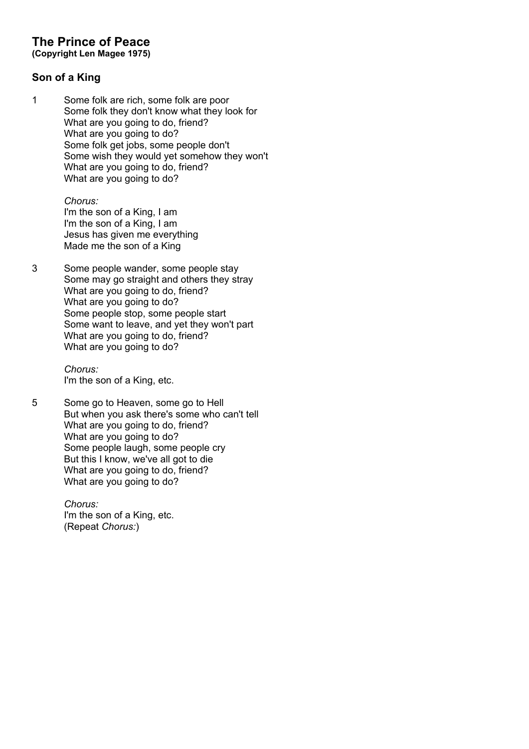# **The Prince of Peace**

**(Copyright Len Magee 1975)**

## **Son of a King**

1 Some folk are rich, some folk are poor Some folk they don't know what they look for What are you going to do, friend? What are you going to do? Some folk get jobs, some people don't Some wish they would yet somehow they won't What are you going to do, friend? What are you going to do?

> *Chorus:* I'm the son of a King, I am I'm the son of a King, I am Jesus has given me everything Made me the son of a King

3 Some people wander, some people stay Some may go straight and others they stray What are you going to do, friend? What are you going to do? Some people stop, some people start Some want to leave, and yet they won't part What are you going to do, friend? What are you going to do?

> *Chorus:* I'm the son of a King, etc.

5 Some go to Heaven, some go to Hell But when you ask there's some who can't tell What are you going to do, friend? What are you going to do? Some people laugh, some people cry But this I know, we've all got to die What are you going to do, friend? What are you going to do?

> *Chorus:* I'm the son of a King, etc. (Repeat *Chorus:*)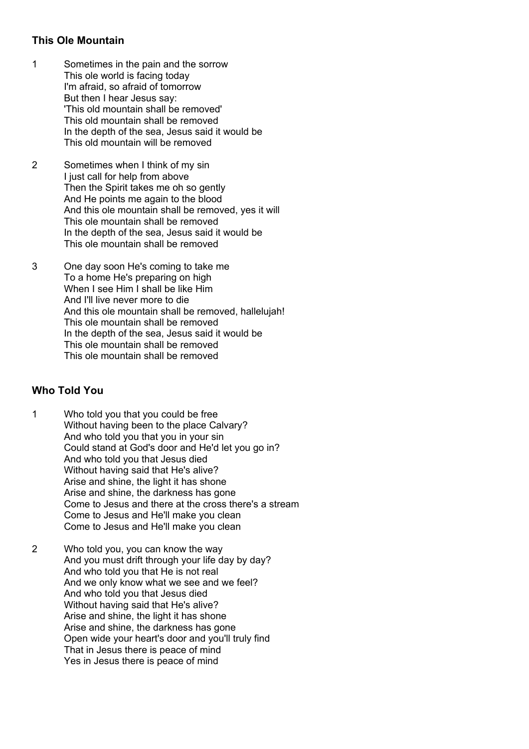## **This Ole Mountain**

- 1 Sometimes in the pain and the sorrow This ole world is facing today I'm afraid, so afraid of tomorrow But then I hear Jesus say: 'This old mountain shall be removed' This old mountain shall be removed In the depth of the sea, Jesus said it would be This old mountain will be removed
- 2 Sometimes when I think of my sin I just call for help from above Then the Spirit takes me oh so gently And He points me again to the blood And this ole mountain shall be removed, yes it will This ole mountain shall be removed In the depth of the sea, Jesus said it would be This ole mountain shall be removed
- 3 One day soon He's coming to take me To a home He's preparing on high When I see Him I shall be like Him And I'll live never more to die And this ole mountain shall be removed, hallelujah! This ole mountain shall be removed In the depth of the sea, Jesus said it would be This ole mountain shall be removed This ole mountain shall be removed

## **Who Told You**

- 1 Who told you that you could be free Without having been to the place Calvary? And who told you that you in your sin Could stand at God's door and He'd let you go in? And who told you that Jesus died Without having said that He's alive? Arise and shine, the light it has shone Arise and shine, the darkness has gone Come to Jesus and there at the cross there's a stream Come to Jesus and He'll make you clean Come to Jesus and He'll make you clean
- 2 Who told you, you can know the way And you must drift through your life day by day? And who told you that He is not real And we only know what we see and we feel? And who told you that Jesus died Without having said that He's alive? Arise and shine, the light it has shone Arise and shine, the darkness has gone Open wide your heart's door and you'll truly find That in Jesus there is peace of mind Yes in Jesus there is peace of mind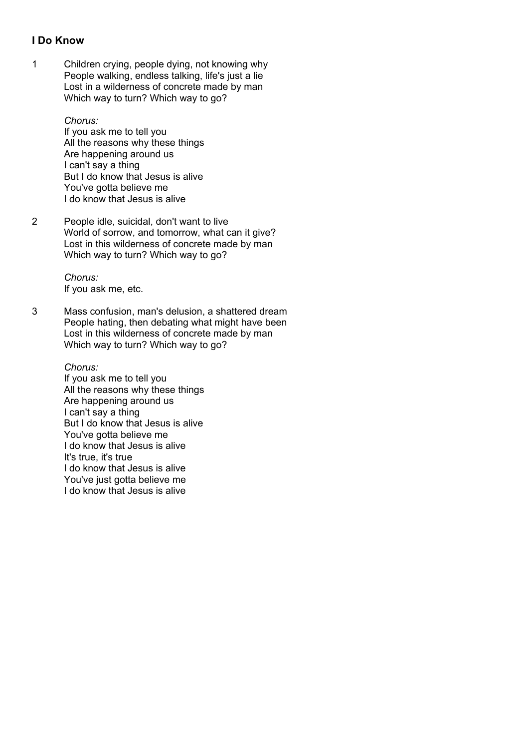### **I Do Know**

1 Children crying, people dying, not knowing why People walking, endless talking, life's just a lie Lost in a wilderness of concrete made by man Which way to turn? Which way to go?

> *Chorus:* If you ask me to tell you All the reasons why these things Are happening around us I can't say a thing But I do know that Jesus is alive You've gotta believe me I do know that Jesus is alive

2 People idle, suicidal, don't want to live World of sorrow, and tomorrow, what can it give? Lost in this wilderness of concrete made by man Which way to turn? Which way to go?

> *Chorus:* If you ask me, etc.

3 Mass confusion, man's delusion, a shattered dream People hating, then debating what might have been Lost in this wilderness of concrete made by man Which way to turn? Which way to go?

> *Chorus:* If you ask me to tell you All the reasons why these things Are happening around us I can't say a thing But I do know that Jesus is alive You've gotta believe me I do know that Jesus is alive It's true, it's true I do know that Jesus is alive You've just gotta believe me I do know that Jesus is alive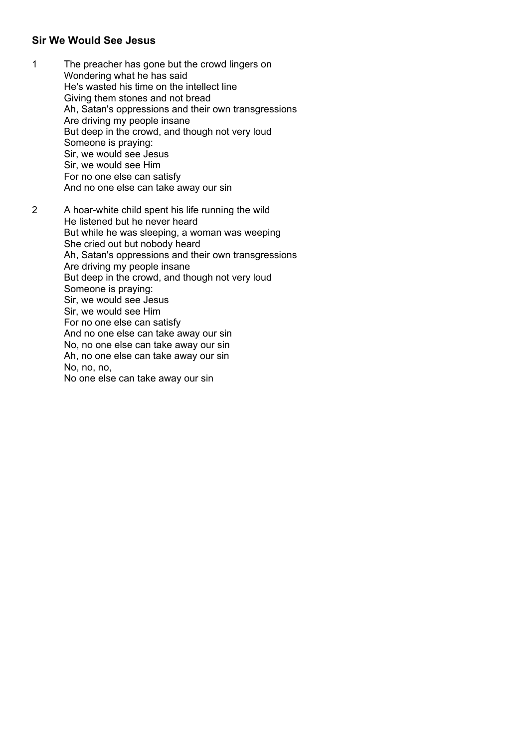#### **Sir We Would See Jesus**

- 1 The preacher has gone but the crowd lingers on Wondering what he has said He's wasted his time on the intellect line Giving them stones and not bread Ah, Satan's oppressions and their own transgressions Are driving my people insane But deep in the crowd, and though not very loud Someone is praying: Sir, we would see Jesus Sir, we would see Him For no one else can satisfy And no one else can take away our sin
- 2 A hoar-white child spent his life running the wild He listened but he never heard But while he was sleeping, a woman was weeping She cried out but nobody heard Ah, Satan's oppressions and their own transgressions Are driving my people insane But deep in the crowd, and though not very loud Someone is praying: Sir, we would see Jesus Sir, we would see Him For no one else can satisfy And no one else can take away our sin No, no one else can take away our sin Ah, no one else can take away our sin No, no, no, No one else can take away our sin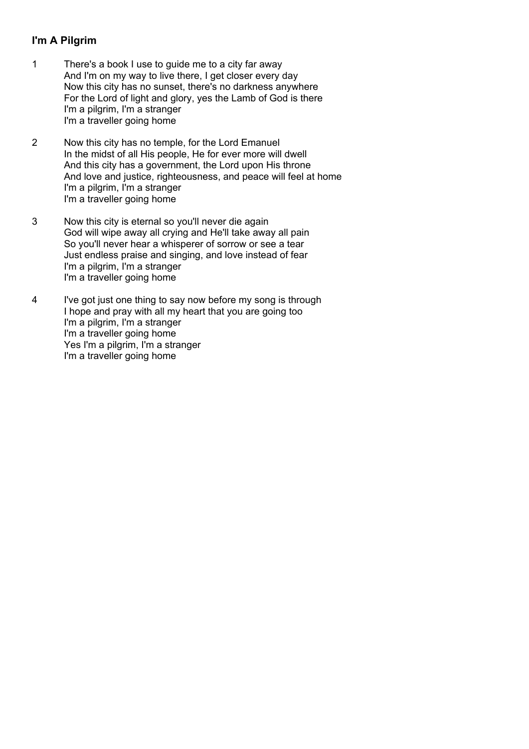## **I'm A Pilgrim**

- 1 There's a book I use to guide me to a city far away And I'm on my way to live there, I get closer every day Now this city has no sunset, there's no darkness anywhere For the Lord of light and glory, yes the Lamb of God is there I'm a pilgrim, I'm a stranger I'm a traveller going home
- 2 Now this city has no temple, for the Lord Emanuel In the midst of all His people, He for ever more will dwell And this city has a government, the Lord upon His throne And love and justice, righteousness, and peace will feel at home I'm a pilgrim, I'm a stranger I'm a traveller going home
- 3 Now this city is eternal so you'll never die again God will wipe away all crying and He'll take away all pain So you'll never hear a whisperer of sorrow or see a tear Just endless praise and singing, and love instead of fear I'm a pilgrim, I'm a stranger I'm a traveller going home
- 4 I've got just one thing to say now before my song is through I hope and pray with all my heart that you are going too I'm a pilgrim, I'm a stranger I'm a traveller going home Yes I'm a pilgrim, I'm a stranger I'm a traveller going home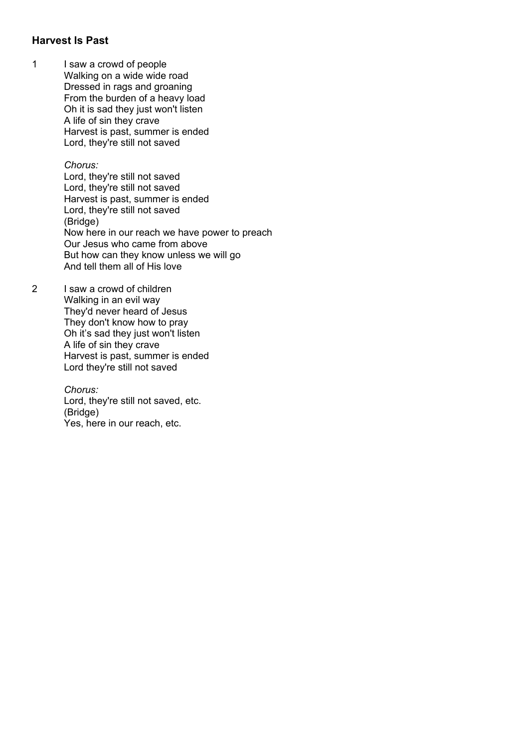### **Harvest Is Past**

1 I saw a crowd of people Walking on a wide wide road Dressed in rags and groaning From the burden of a heavy load Oh it is sad they just won't listen A life of sin they crave Harvest is past, summer is ended Lord, they're still not saved

#### *Chorus:*

Lord, they're still not saved Lord, they're still not saved Harvest is past, summer is ended Lord, they're still not saved (Bridge) Now here in our reach we have power to preach Our Jesus who came from above But how can they know unless we will go And tell them all of His love

2 I saw a crowd of children Walking in an evil way They'd never heard of Jesus They don't know how to pray Oh it's sad they just won't listen A life of sin they crave Harvest is past, summer is ended Lord they're still not saved

> *Chorus:* Lord, they're still not saved, etc. (Bridge) Yes, here in our reach, etc.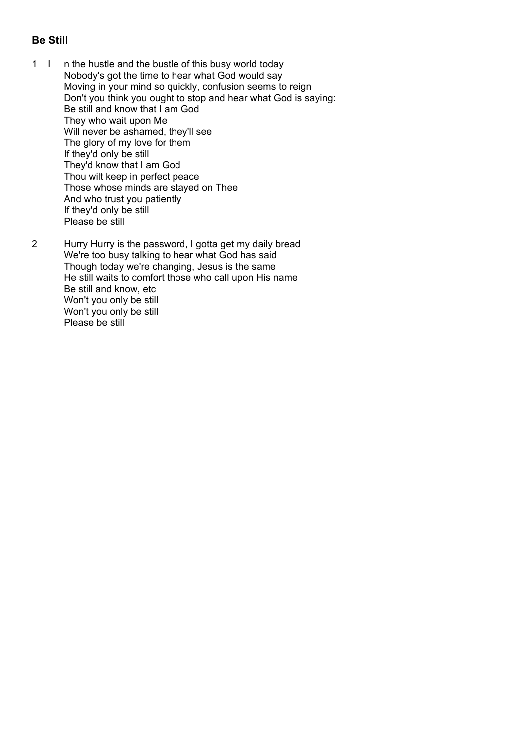## **Be Still**

- 1 I n the hustle and the bustle of this busy world today Nobody's got the time to hear what God would say Moving in your mind so quickly, confusion seems to reign Don't you think you ought to stop and hear what God is saying: Be still and know that I am God They who wait upon Me Will never be ashamed, they'll see The glory of my love for them If they'd only be still They'd know that I am God Thou wilt keep in perfect peace Those whose minds are stayed on Thee And who trust you patiently If they'd only be still Please be still
- 2 Hurry Hurry is the password, I gotta get my daily bread We're too busy talking to hear what God has said Though today we're changing, Jesus is the same He still waits to comfort those who call upon His name Be still and know, etc Won't you only be still Won't you only be still Please be still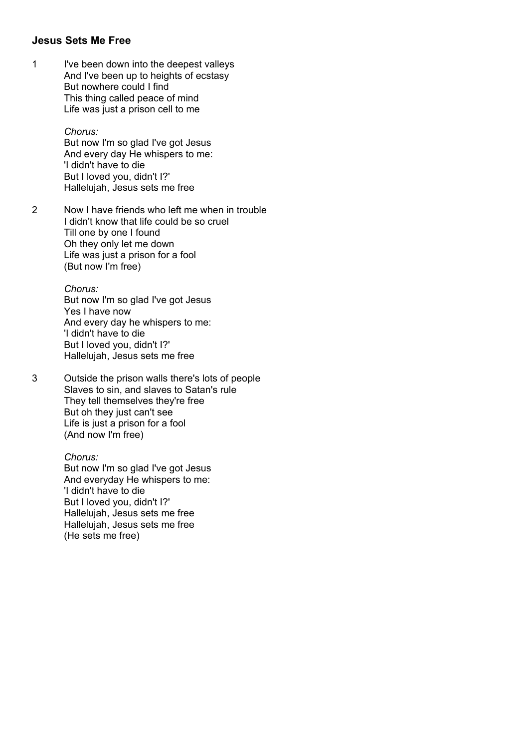#### **Jesus Sets Me Free**

1 I've been down into the deepest valleys And I've been up to heights of ecstasy But nowhere could I find This thing called peace of mind Life was just a prison cell to me

> *Chorus:* But now I'm so glad I've got Jesus And every day He whispers to me: 'I didn't have to die But I loved you, didn't I?' Hallelujah, Jesus sets me free

2 Now I have friends who left me when in trouble I didn't know that life could be so cruel Till one by one I found Oh they only let me down Life was just a prison for a fool (But now I'm free)

> *Chorus:* But now I'm so glad I've got Jesus Yes I have now And every day he whispers to me: 'I didn't have to die But I loved you, didn't I?' Hallelujah, Jesus sets me free

3 Outside the prison walls there's lots of people Slaves to sin, and slaves to Satan's rule They tell themselves they're free But oh they just can't see Life is just a prison for a fool (And now I'm free)

> *Chorus:* But now I'm so glad I've got Jesus And everyday He whispers to me: 'I didn't have to die But I loved you, didn't I?' Hallelujah, Jesus sets me free Hallelujah, Jesus sets me free (He sets me free)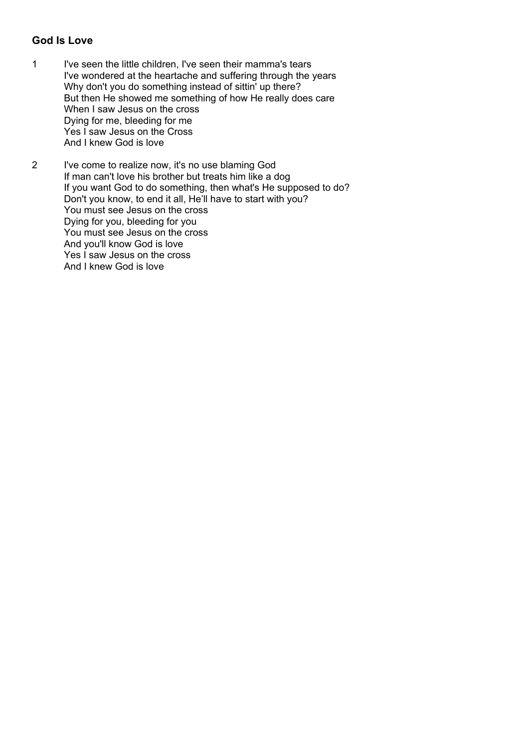## **God Is Love**

- 1 I've seen the little children, I've seen their mamma's tears I've wondered at the heartache and suffering through the years Why don't you do something instead of sittin' up there? But then He showed me something of how He really does care When I saw Jesus on the cross Dying for me, bleeding for me Yes I saw Jesus on the Cross And I knew God is love
- 2 I've come to realize now, it's no use blaming God If man can't love his brother but treats him like a dog If you want God to do something, then what's He supposed to do? Don't you know, to end it all, He'll have to start with you? You must see Jesus on the cross Dying for you, bleeding for you You must see Jesus on the cross And you'll know God is love Yes I saw Jesus on the cross And I knew God is love